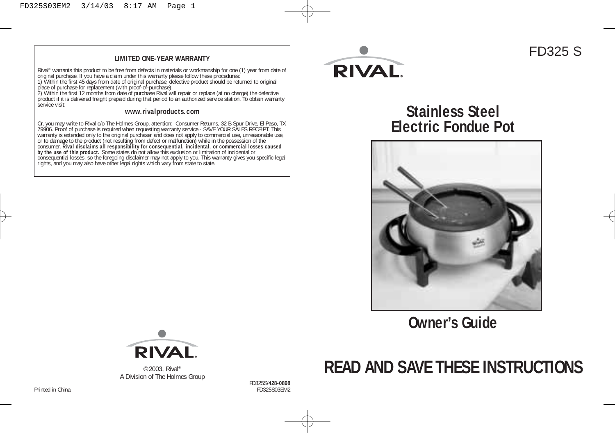#### **LIMITED ONE-YEAR WARRANTY**

Rival" warrants this product to be free from defects in materials or workmanship for one (1) year from date of<br>original purchase. If you have a claim under this warranty please follow these procedures:<br>1) Within the first

service visit:

#### **www.rivalproducts.com**

Or, you may write to Rival c/o The Holmes Group, attention: Consumer Returns, 32 B Spur Drive, EI Paso, TX<br>79906. Proof of purchase is required when requesting warranty service - SAVE YOUR SALES RECEIPT. This<br>varranty is e



### FD325 S

**Stainless Steel Electric Fondue Pot**



**Owner's Guide**





©2003, Rival® A Division of The Holmes Group

FD325S/**428-0898**

Printed in China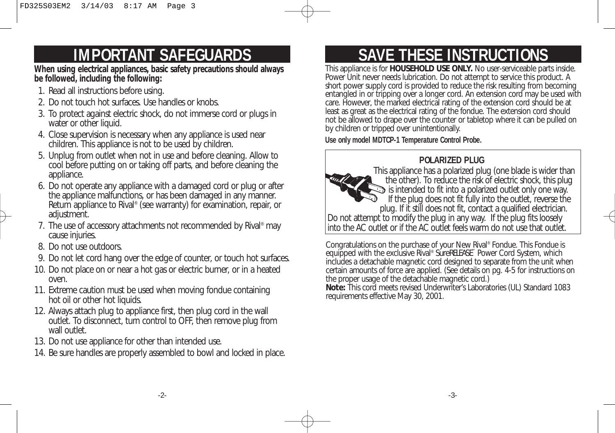# **IMPORTANT SAFEGUARDS**

**When using electrical appliances, basic safety precautions should always be followed, including the following:** 

- 1. Read all instructions before using.
- 2. Do not touch hot surfaces. Use handles or knobs.
- 3. To protect against electric shock, do not immerse cord or plugs in water or other liquid.
- 4. Close supervision is necessary when any appliance is used near children. This appliance is not to be used by children.
- 5. Unplug from outlet when not in use and before cleaning. Allow to cool before putting on or taking off parts, and before cleaning the appliance.
- 6. Do not operate any appliance with a damaged cord or plug or after the appliance malfunctions, or has been damaged in any manner. Return appliance to Rival® (see warranty) for examination, repair, or adjustment.
- 7. The use of accessory attachments not recommended by Rival® may cause injuries.
- 8. Do not use outdoors.
- 9. Do not let cord hang over the edge of counter, or touch hot surfaces.
- 10. Do not place on or near a hot gas or electric burner, or in a heated oven.
- 11. Extreme caution must be used when moving fondue containing hot oil or other hot liquids.
- 12. Always attach plug to appliance first, then plug cord in the wall outlet. To disconnect, turn control to OFF, then remove plug from wall outlet
- 13. Do not use appliance for other than intended use.
- 14. Be sure handles are properly assembled to bowl and locked in place.

# **SAVE THESE INSTRUCTIONS**

This appliance is for **HOUSEHOLD USE ONLY.** No user-serviceable parts inside. Power Unit never needs lubrication. Do not attempt to service this product. A short power supply cord is provided to reduce the risk resulting from becoming entangled in or tripping over a longer cord. An extension cord may be used with care. However, the marked electrical rating of the extension cord should be at least as great as the electrical rating of the fondue. The extension cord should not be allowed to drape over the counter or tabletop where it can be pulled on by children or tripped over unintentionally.

**Use only model MDTCP-1 Temperature Control Probe.**

### **POLARIZED PLUG**

This appliance has a polarized plug (one blade is wider than the other). To reduce the risk of electric shock, this plug  $\Im$  is intended to fit into a polarized outlet only one way. If the plug does not fit fully into the outlet, reverse the plug. If it still does not fit, contact a qualified electrician. Do not attempt to modify the plug in any way. If the plug fits loosely into the AC outlet or if the AC outlet feels warm do not use that outlet.

Congratulations on the purchase of your New Rival® Fondue. This Fondue is equipped with the exclusive Rival® SureRELEASE<sup>®</sup> Power Cord System, which includes a detachable magnetic cord designed to separate from the unit when certain amounts of force are applied. (See details on pg. 4-5 for instructions on the proper usage of the detachable magnetic cord.)

**Note:** This cord meets revised Underwriter's Laboratories (UL) Standard 1083 requirements effective May 30, 2001.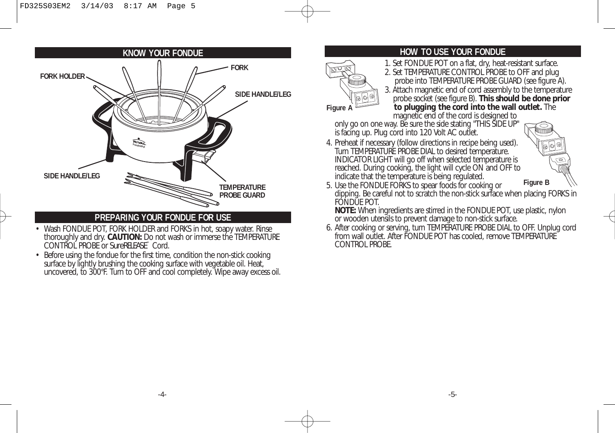

### **PREPARING YOUR FONDUE FOR USE**

- Wash FONDUE POT, FORK HOLDER and FORKS in hot, soapy water. Rinse thoroughly and dry. **CAUTION:** Do not wash or immerse the TEMPERATURE CONTROL PROBE or **SureRELEASE**<sup>™</sup> Cord.
- Before using the fondue for the first time, condition the non-stick cooking surface by lightly brushing the cooking surface with vegetable oil. Heat, uncovered, to 300°F. Turn to OFF and cool completely. Wipe away excess oil.

### **HOW TO USE YOUR FONDUE**

- **FORK** 1. Set FONDUE POT on a flat, dry, heat-resistant surface.<br>2. Set TEMPERATURE CONTROL PROBE to OFF and plug
	- probe into TEMPERATURE PROBE GUARD (see figure A).
	- 3. Attach magnetic end of cord assembly to the temperature probe socket (see figure B). **This should be done prior**

**to plugging the cord into the wall outlet.** The

magnetic end of the cord is designed to only go on one way. Be sure the side stating "THIS SIDE UP" is facing up. Plug cord into 120 Volt AC outlet.

**Figure A**

4. Preheat if necessary (follow directions in recipe being used). Turn TEMPERATURE PROBE DIAL to desired temperature. INDICATOR LIGHT will go off when selected temperature is reached. During cooking, the light will cycle ON and OFF to indicate that the temperature is being regulated.



5. Use the FONDUE FORKS to spear foods for cooking or dipping. Be careful not to scratch the non-stick surface when placing FORKS in FONDUE POT. **Figure B**

**NOTE:** When ingredients are stirred in the FONDUE POT, use plastic, nylon or wooden utensils to prevent damage to non-stick surface.

6. After cooking or serving, turn TEMPERATURE PROBE DIAL to OFF. Unplug cord from wall outlet. After FONDUE POT has cooled, remove TEMPERATURE CONTROL PROBE.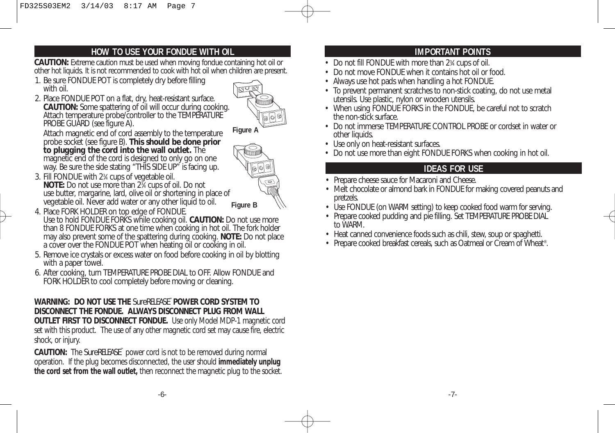### **HOW TO USE YOUR FONDUE WITH OIL**

**CAUTION:** Extreme caution must be used when moving fondue containing hot oil or other hot liquids. It is not recommended to cook with hot oil when children are present.

- 1. Be sure FONDUE POT is completely dry before filling with oil.
- 2. Place FONDUE POT on a flat, dry, heat-resistant surface. **CAUTION:** Some spattering of oil will occur during cooking. Attach temperature probe/controller to the TEMPERATURE PROBE GUARD (see figure A).



Attach magnetic end of cord assembly to the temperature probe socket (see figure B). **This should be done prior to plugging the cord into the wall outlet.** The magnetic end of the cord is designed to only go on one way. Be sure the side stating "THIS SIDE UP" is facing up.

- 3. Fill FONDUE with 23 ⁄4 cups of vegetable oil. **NOTE:** Do not use more than 23 ⁄4 cups of oil. Do not use butter, margarine, lard, olive oil or shortening in place of vegetable oil. Never add water or any other liquid to oil. **Figure B**
- 4. Place FORK HOLDER on top edge of FONDUE. Use to hold FONDUE FORKS while cooking oil. **CAUTION:** Do not use more than 8 FONDUE FORKS at one time when cooking in hot oil. The fork holder may also prevent some of the spattering during cooking. **NOTE:** Do not place a cover over the FONDUE POT when heating oil or cooking in oil.
- 5. Remove ice crystals or excess water on food before cooking in oil by blotting with a paper towel.
- 6. After cooking, turn TEMPERATURE PROBE DIAL to OFF. Allow FONDUE and FORK HOLDER to cool completely before moving or cleaning.

### **WARNING: DO NOT USE THE** SureRELEASE™ **POWER CORD SYSTEM TO DISCONNECT THE FONDUE. ALWAYS DISCONNECT PLUG FROM WALL**

**OUTLET FIRST TO DISCONNECT FONDUE.** Use only Model MDP-1 magnetic cord set with this product. The use of any other magnetic cord set may cause fire, electric shock, or injury.

**CAUTION:** The SureRELEASE™ power cord is not to be removed during normal operation. If the plug becomes disconnected, the user should **immediately unplug the cord set from the wall outlet,** then reconnect the magnetic plug to the socket.

### **IMPORTANT POINTS**

- Do not fill FONDUE with more than 2<sup>3</sup> cups of oil.
- Do not move FONDUE when it contains hot oil or food.
- Always use hot pads when handling a hot FONDUE.
- To prevent permanent scratches to non-stick coating, do not use metal utensils. Use plastic, nylon or wooden utensils.
- When using FONDUE FORKS in the FONDUE, be careful not to scratch the non-stick surface.
- Do not immerse TEMPERATURE CONTROL PROBE or cordset in water or other liquids.
- Use only on heat-resistant surfaces.
- Do not use more than eight FONDUE FORKS when cooking in hot oil.

### **IDEAS FOR USE**

- Prepare cheese sauce for Macaroni and Cheese.
- Melt chocolate or almond bark in FONDUE for making covered peanuts and pretzels.
- Use FONDUE (on WARM setting) to keep cooked food warm for serving.
- Prepare cooked pudding and pie filling. Set TEMPERATURE PROBE DIAL to WARM.
- Heat canned convenience foods such as chili, stew, soup or spaghetti.
- Prepare cooked breakfast cereals, such as Oatmeal or Cream of Wheat®.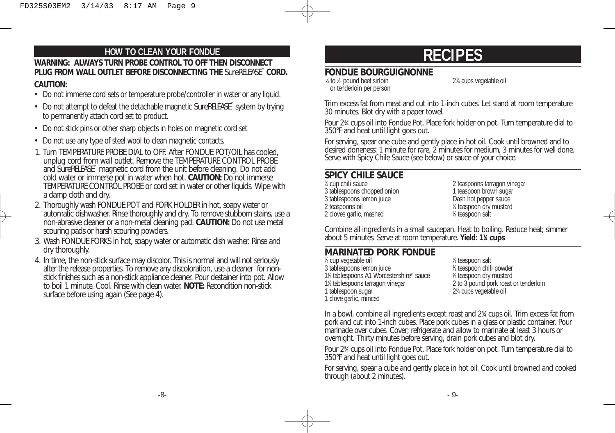# **WARNING: ALWAYS TURN PROBE CONTROL TO OFF THEN DISCONNECT HOW TO CLEAN YOUR FONDUE RECIPES PLUG FROM WALL OUTLET BEFORE DISCONNECTING THE** SureRELEASE™ **CORD.**

#### **CAUTION:**

- Do not immerse cord sets or temperature probe/controller in water or any liquid.
- Do not attempt to defeat the detachable magnetic **SureRELEASE**™ system by trying to permanently attach cord set to product.
- Do not stick pins or other sharp objects in holes on magnetic cord set
- Do not use any type of steel wool to clean magnetic contacts.
- 1. Turn TEMPERATURE PROBE DIAL to OFF. After FONDUE POT/OIL has cooled, unplug cord from wall outlet. Remove the TEMPERATURE CONTROL PROBE and **SureRELEASE**<sup>™</sup> magnetic cord from the unit before cleaning. Do not add cold water or immerse pot in water when hot. **CAUTION:** Do not immerse TEMPERATURE CONTROL PROBE or cord set in water or other liquids. Wipe with a damp cloth and dry.
- 2. Thoroughly wash FONDUE POT and FORK HOLDER in hot, soapy water or automatic dishwasher. Rinse thoroughly and dry. To remove stubborn stains, use a non-abrasive cleaner or a non-metal cleaning pad. **CAUTION:** Do not use metal scouring pads or harsh scouring powders.
- 3. Wash FONDUE FORKS in hot, soapy water or automatic dish washer. Rinse and dry thoroughly.
- 4. In time, the non-stick surface may discolor. This is normal and will not seriously alter the release properties. To remove any discoloration, use a cleaner for nonstick finishes such as a non-stick appliance cleaner. Pour destainer into pot. Allow to boil 1 minute. Cool. Rinse with clean water. **NOTE:** Recondition non-stick surface before using again (See page 4).

### **FONDUE BOURGUIGNONNE**

| 1/ <sub>2</sub> to 1/ <sub>2</sub> pound beef sirloin | 23 |
|-------------------------------------------------------|----|
| or tenderloin per person                              |    |

⁄4 cups vegetable oil

Trim excess fat from meat and cut into 1-inch cubes. Let stand at room temperature 30 minutes. Blot dry with a paper towel.

Pour 23 ⁄4 cups oil into Fondue Pot. Place fork holder on pot. Turn temperature dial to 350°F and heat until light goes out.

For serving, spear one cube and gently place in hot oil. Cook until browned and to desired doneness: 1 minute for rare, 2 minutes for medium, 3 minutes for well done. Serve with Spicy Chile Sauce (see below) or sauce of your choice.

### **SPICY CHILE SAUCE**

<sup>3</sup>⁄4 cup chili sauce 3 tablespoons chopped onion<br>3 tablespoons lemon juice<br>2 bash hot pepper sauce 3 tablespoons lemon juice 2 teaspoons oil <sup>1</sup> 2 cloves garlic, mashed <sup>1</sup>

2 teaspoons tarragon vinegar<br>1 teaspoon brown sugar ⁄4 teaspoon dry mustard ⁄4 teaspoon salt

Combine all ingredients in a small saucepan. Heat to boiling. Reduce heat; simmer about 5 minutes. Serve at room temperature. **Yield: 11 ⁄4 cups**

### **MARINATED PORK FONDUE**

 $\frac{3}{4}$  cup vegetable oil  $\frac{1}{4}$ 3 tablespoons lemon juice 1<sup>1</sup>/<sub>2</sub> tablespoons A1 Worcestershire® sauce 1 1% tablespoons tarragon vinegar 1 tablespoon sugar 1 clove garlic, minced

⁄2 teaspoon salt ⁄2 teaspoon chili powder ⁄2 teaspoon dry mustard 2 to 3 pound pork roast or tenderloin ⁄4 cups vegetable oil

In a bowl, combine all ingredients except roast and 23 ⁄4 cups oil. Trim excess fat from pork and cut into 1-inch cubes. Place pork cubes in a glass or plastic container. Pour marinade over cubes. Cover; refrigerate and allow to marinate at least 3 hours or overnight. Thirty minutes before serving, drain pork cubes and blot dry.

Pour 23 ⁄4 cups oil into Fondue Pot. Place fork holder on pot. Turn temperature dial to 350°F and heat until light goes out.

For serving, spear a cube and gently place in hot oil. Cook until browned and cooked through (about 2 minutes).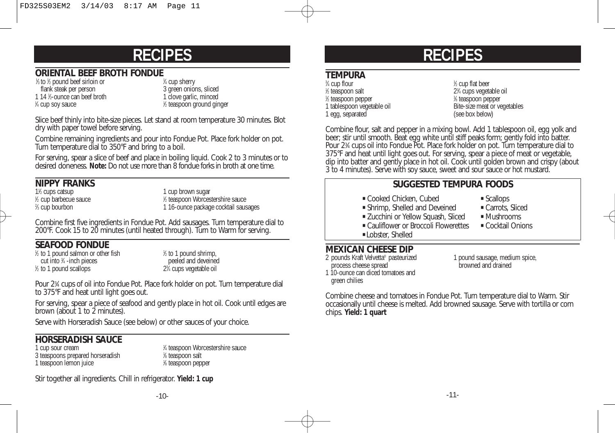### **ORIENTAL BEEF BROTH FONDUE**

 $\frac{1}{2}$  to  $\frac{1}{2}$  pound beef sirloin or  $\frac{1}{2}$ flank steak per person<br>
14 %-ounce can beef broth<br>
14 %-ounce can beef broth<br>
1 clove garlic, minced 1 14 1/2-ounce can beef broth 1 clove garlic, minced <sup>1</sup>/<sub>4</sub> cup soy sauce 1

% cup sherry<br>3 green onions, sliced ⁄2 teaspoon ground ginger

Slice beef thinly into bite-size pieces. Let stand at room temperature 30 minutes. Blot dry with paper towel before serving.

Combine remaining ingredients and pour into Fondue Pot. Place fork holder on pot. Turn temperature dial to 350°F and bring to a boil.

For serving, spear a slice of beef and place in boiling liquid. Cook 2 to 3 minutes or to desired doneness. **Note:** Do not use more than 8 fondue forks in broth at one time.

### **NIPPY FRANKS**

1<sup>1</sup>/<sub>2</sub> cups catsup <sup>1</sup>/<sub>2</sub> cup barbecue sauce 1  $%$  cup bourbon

1 cup brown sugar ⁄2 teaspoon Worcestershire sauce 1 16-ounce package cocktail sausages

Combine first five ingredients in Fondue Pot. Add sausages. Turn temperature dial to 200°F. Cook 15 to 20 minutes (until heated through). Turn to Warm for serving.

### **SEAFOOD FONDUE**

1 ⁄2 to 1 pound salmon or other fish 1 cut into 34 - inch pieces  $\frac{1}{2}$  to 1 pound scallops 23

⁄2 to 1 pound shrimp, peeled and deveined ⁄4 cups vegetable oil

Pour 23 ⁄4 cups of oil into Fondue Pot. Place fork holder on pot. Turn temperature dial to 375°F and heat until light goes out.

For serving, spear a piece of seafood and gently place in hot oil. Cook until edges are brown (about 1 to 2 minutes).

Serve with Horseradish Sauce (see below) or other sauces of your choice.

### **HORSERADISH SAUCE**

1 cup sour cream 3 teaspoons prepared horseradish 1 1 teaspoon lemon juice

⁄4 teaspoon Worcestershire sauce ⁄8 teaspoon salt ⁄8 teaspoon pepper

Stir together all ingredients. Chill in refrigerator. **Yield: 1 cup**

# **RECIPES**

### **TEMPURA**

⁄4 cup flour <sup>1</sup>  $\frac{1}{2}$  teaspoon salt 23 1 ⁄2 teaspoon pepper <sup>1</sup> 1 tablespoon vegetable oil Bite-size meat or vegetables<br>
1 egg, separated<br>
1 egg, separated 1 egg, separated

⁄2 cup flat beer ⁄4 cups vegetable oil ⁄8 teaspoon pepper

Combine flour, salt and pepper in a mixing bowl. Add 1 tablespoon oil, egg yolk and beer; stir until smooth. Beat egg white until stiff peaks form; gently fold into batter. Pour 23 ⁄4 cups oil into Fondue Pot. Place fork holder on pot. Turn temperature dial to 375°F and heat until light goes out. For serving, spear a piece of meat or vegetable, dip into batter and gently place in hot oil. Cook until golden brown and crispy (about 3 to 4 minutes). Serve with soy sauce, sweet and sour sauce or hot mustard.

### **SUGGESTED TEMPURA FOODS**

- " Cooked Chicken, Cubed " Scallops
	-
- " Shrimp, Shelled and Deveined " Carrots, Sliced " Zucchini or Yellow Squash, Sliced
	-
- Cauliflower or Broccoli Flowerettes Cocktail Onions
- **Lobster, Shelled**

### **MEXICAN CHEESE DIP**<br>2 pounds Kraft Velvetta® pasteurized

process cheese spread

green chilies

1 pound sausage, medium spice,<br>
hrowned and drained 1 10-ounce can diced tomatoes and

Combine cheese and tomatoes in Fondue Pot. Turn temperature dial to Warm. Stir occasionally until cheese is melted. Add browned sausage. Serve with tortilla or corn chips. **Yield: 1 quart**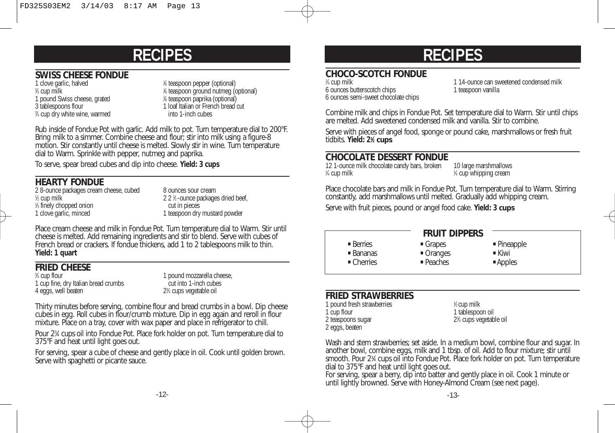### **SWISS CHEESE FONDUE**

1 clove garlic, halved  $\frac{3}{4}$  cup milk  $\frac{1}{4}$ 1 pound Swiss cheese, grated<br>3 tablespoons flour <sup>3</sup>/4 cup dry white wine, warmed into 1-inch cubes

⁄8 teaspoon pepper (optional) ⁄8 teaspoon ground nutmeg (optional) ⁄8 teaspoon paprika (optional) 1 loaf Italian or French bread cut<br>into 1-inch cubes

Rub inside of Fondue Pot with garlic. Add milk to pot. Turn temperature dial to 200°F. Bring milk to a simmer. Combine cheese and flour; stir into milk using a figure-8 motion. Stir constantly until cheese is melted. Slowly stir in wine. Turn temperature dial to Warm. Sprinkle with pepper, nutmeg and paprika.

To serve, spear bread cubes and dip into cheese. **Yield: 3 cups**

### **HEARTY FONDUE**

2 8-ounce packages cream cheese, cubed 8 ounces sour cream 1 ⁄2 cup milk 2 2 1 1 ⁄3 finely chopped onion cut in pieces 1 clove garlic, minced 1 teaspoon dry mustard powder

2 2 % -ounce packages dried beef,<br>cut in pieces

Place cream cheese and milk in Fondue Pot. Turn temperature dial to Warm. Stir until cheese is melted. Add remaining ingredients and stir to blend. Serve with cubes of French bread or crackers. If fondue thickens, add 1 to 2 tablespoons milk to thin. **Yield: 1 quart**

### **FRIED CHEESE**

3⁄4 cup flour 1 cup fine, dry Italian bread crumbs 4 eggs, well beaten

1 pound mozzarella cheese,<br>cut into 1-inch cubes ⁄4 cups vegetable oil

Thirty minutes before serving, combine flour and bread crumbs in a bowl. Dip cheese cubes in egg. Roll cubes in flour/crumb mixture. Dip in egg again and reroll in flour mixture. Place on a tray, cover with wax paper and place in refrigerator to chill.

Pour 23 ⁄4 cups oil into Fondue Pot. Place fork holder on pot. Turn temperature dial to 375°F and heat until light goes out.

For serving, spear a cube of cheese and gently place in oil. Cook until golden brown. Serve with spaghetti or picante sauce.

## **RECIPES**

### **CHOCO-SCOTCH FONDUE**

1/4 cup milk 6 ounces butterscotch chips 6 ounces semi-sweet chocolate chips 1 14-ounce can sweetened condensed milk<br>1 teaspoon vanilla

Combine milk and chips in Fondue Pot. Set temperature dial to Warm. Stir until chips are melted. Add sweetened condensed milk and vanilla. Stir to combine.

Serve with pieces of angel food, sponge or pound cake, marshmallows or fresh fruit tidbits. **Yield: 21 ⁄2 cups**

### **CHOCOLATE DESSERT FONDUE**

12 1-ounce milk chocolate candy bars, broken 10 large marshmallows  $\frac{1}{4}$  cup milk  $\frac{1}{4}$ 

⁄4 cup whipping cream

Place chocolate bars and milk in Fondue Pot. Turn temperature dial to Warm. Stirring constantly, add marshmallows until melted. Gradually add whipping cream.

Serve with fruit pieces, pound or angel food cake. **Yield: 3 cups**

" Grapes " Oranges " Peaches

| ■ Berries  |
|------------|
| ■ Bananas  |
| • Cherries |

### **FRUIT DIPPERS**

" Pineapple " Kiwi

" Apples

#### **FRIED STRAWBERRIES**

1 pound fresh strawberries<br>1 cup flour 2 teaspoons sugar 2 eggs, beaten

⁄2 cup milk 1 tablespoon oil ⁄4 cups vegetable oil

Wash and stem strawberries; set aside. In a medium bowl, combine flour and sugar. In another bowl, combine eggs, milk and 1 tbsp. of oil. Add to flour mixture; stir until smooth. Pour 23 ⁄4 cups oil into Fondue Pot. Place fork holder on pot. Turn temperature dial to 375°F and heat until light goes out.

For serving, spear a berry, dip into batter and gently place in oil. Cook 1 minute or until lightly browned. Serve with Honey-Almond Cream (see next page).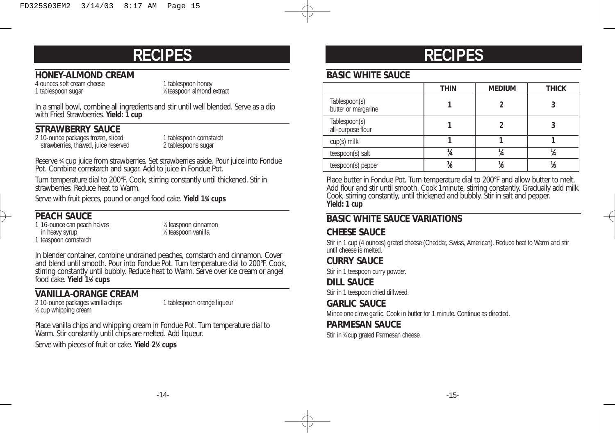### **HONEY-ALMOND CREAM**

1 tablespoon sugar

4 ounces soft cream cheese 1 tablespoon honey ⁄8 teaspoon almond extract

In a small bowl, combine all ingredients and stir until well blended. Serve as a dip with Fried Strawberries. **Yield: 1 cup**

### **STRAWBERRY SAUCE**

2 10-ounce packages frozen, sliced 1 tablespoon cornstarch<br>
2 tablespoons sugar<br>
2 tablespoons sugar strawberries, thawed, juice reserved

Reserve 34 cup juice from strawberries. Set strawberries aside. Pour juice into Fondue Pot. Combine cornstarch and sugar. Add to juice in Fondue Pot.

Turn temperature dial to 200°F. Cook, stirring constantly until thickened. Stir in strawberries. Reduce heat to Warm.

Serve with fruit pieces, pound or angel food cake. **Yield 13 ⁄4 cups**

### **PEACH SAUCE**

1 16-ounce can peach halves in heavy syrup 1 teaspoon cornstarch

⁄4 teaspoon cinnamon ⁄2 teaspoon vanilla

In blender container, combine undrained peaches, cornstarch and cinnamon. Cover and blend until smooth. Pour into Fondue Pot. Turn temperature dial to 200°F. Cook, stirring constantly until bubbly. Reduce heat to Warm. Serve over ice cream or angel food cake. **Yield 11 ⁄2 cups**

### **VANILLA-ORANGE CREAM**

2 10-ounce packages vanilla chips 1 tablespoon orange liqueur 1 ⁄2 cup whipping cream

Place vanilla chips and whipping cream in Fondue Pot. Turn temperature dial to Warm. Stir constantly until chips are melted. Add liqueur.

Serve with pieces of fruit or cake. **Yield 21 ⁄2 cups**

## **RECIPES**

### **BASIC WHITE SAUCE**

|                                      | <b>THIN</b> | <b>MEDIUM</b> | <b>THICK</b> |
|--------------------------------------|-------------|---------------|--------------|
| Tablespoon(s)<br>butter or margarine |             |               |              |
| Tablespoon(s)<br>all-purpose flour   |             |               |              |
| $cup(s)$ milk                        |             |               |              |
| teaspoon(s) salt                     | A4          |               |              |
| teaspoon(s) pepper                   |             |               |              |

Place butter in Fondue Pot. Turn temperature dial to 200°F and allow butter to melt. Add flour and stir until smooth. Cook 1minute, stirring constantly. Gradually add milk. Cook, stirring constantly, until thickened and bubbly. Stir in salt and pepper. **Yield: 1 cup**

### **BASIC WHITE SAUCE VARIATIONS**

### **CHEESE SAUCE**

Stir in 1 cup (4 ounces) grated cheese (Cheddar, Swiss, American). Reduce heat to Warm and stir until cheese is melted.

### **CURRY SAUCE**

Stir in 1 teaspoon curry powder.

**DILL SAUCE**

Stir in 1 teaspoon dried dillweed.

#### **GARLIC SAUCE**

Mince one clove garlic. Cook in butter for 1 minute. Continue as directed.

#### **PARMESAN SAUCE**

Stir in 1 ⁄4 cup grated Parmesan cheese.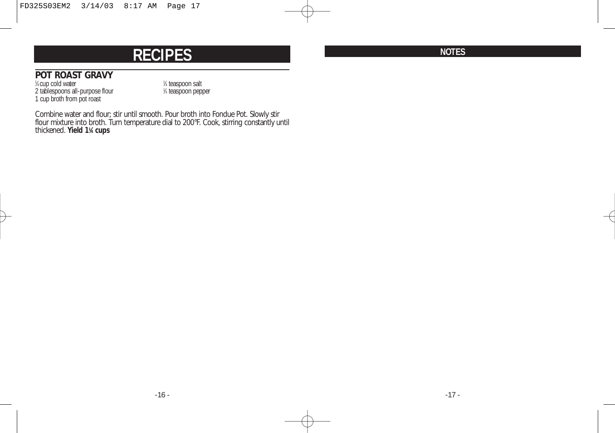### **POT ROAST GRAVY**

<sup>1</sup>/4 cup cold water 1 2 tablespoons all-purpose flour 1 1 cup broth from pot roast

⁄4 teaspoon salt ⁄4 teaspoon pepper

Combine water and flour; stir until smooth. Pour broth into Fondue Pot. Slowly stir flour mixture into broth. Turn temperature dial to 200°F. Cook, stirring constantly until thickened. **Yield 11 ⁄4 cups**

**NOTES**